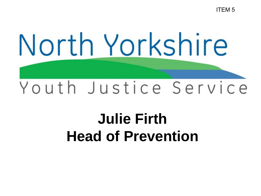ITEM 5

# North Yorkshire Youth Justice Service

## **Julie Firth Head of Prevention**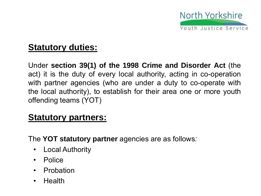

#### **Statutory duties:**

Under **section 39(1) of the 1998 Crime and Disorder Act** (the act) it is the duty of every local authority, acting in co-operation with partner agencies (who are under a duty to co-operate with the local authority), to establish for their area one or more youth offending teams (YOT)

#### **Statutory partners:**

The **YOT statutory partner** agencies are as follows*:*

- Local Authority
- Police
- **Probation**
- Health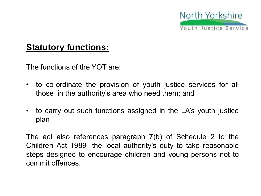

#### **Statutory functions:**

The functions of the YOT are:

- to co-ordinate the provision of youth justice services for all those in the authority's area who need them; and
- to carry out such functions assigned in the LA's youth justice plan

The act also references paragraph 7(b) of Schedule 2 to the Children Act 1989 -the local authority's duty to take reasonable steps designed to encourage children and young persons not to commit offences.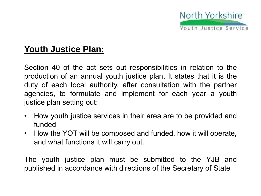

### **Youth Justice Plan:**

Section 40 of the act sets out responsibilities in relation to the production of an annual youth justice plan. It states that it is the duty of each local authority, after consultation with the partner agencies, to formulate and implement for each year a youth justice plan setting out:

- How youth justice services in their area are to be provided and funded
- How the YOT will be composed and funded, how it will operate, and what functions it will carry out.

The youth justice plan must be submitted to the YJB and published in accordance with directions of the Secretary of State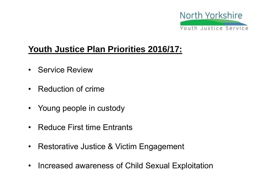

#### **Youth Justice Plan Priorities 2016/17:**

- Service Review
- Reduction of crime
- Young people in custody
- Reduce First time Entrants
- Restorative Justice & Victim Engagement
- Increased awareness of Child Sexual Exploitation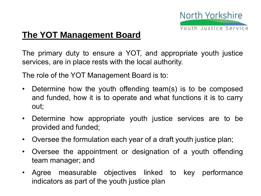

#### **The YOT Management Board**

The primary duty to ensure a YOT, and appropriate youth justice services, are in place rests with the local authority.

The role of the YOT Management Board is to:

- Determine how the youth offending team(s) is to be composed and funded, how it is to operate and what functions it is to carry out;
- Determine how appropriate youth justice services are to be provided and funded;
- Oversee the formulation each year of a draft youth justice plan;
- Oversee the appointment or designation of a youth offending team manager; and
- Agree measurable objectives linked to key performance indicators as part of the youth justice plan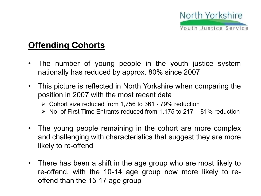

#### **Offending Cohorts**

- The number of young people in the youth justice system nationally has reduced by approx. 80% since 2007
- This picture is reflected in North Yorkshire when comparing the position in 2007 with the most recent data
	- $\geq$  Cohort size reduced from 1,756 to 361 79% reduction
	- $\triangleright$  No. of First Time Entrants reduced from 1,175 to 217 81% reduction
- The young people remaining in the cohort are more complex and challenging with characteristics that suggest they are more likely to re-offend
- There has been a shift in the age group who are most likely to re-offend, with the 10-14 age group now more likely to reoffend than the 15-17 age group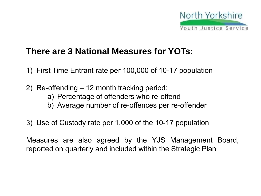

#### **There are 3 National Measures for YOTs:**

- 1) First Time Entrant rate per 100,000 of 10-17 population
- 2) Re-offending 12 month tracking period: a) Percentage of offenders who re-offend b) Average number of re-offences per re-offender
- 3) Use of Custody rate per 1,000 of the 10-17 population

Measures are also agreed by the YJS Management Board, reported on quarterly and included within the Strategic Plan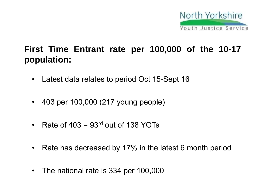

### **First Time Entrant rate per 100,000 of the 10-17 population:**

- Latest data relates to period Oct 15-Sept 16
- 403 per 100,000 (217 young people)
- Rate of  $403 = 93<sup>rd</sup>$  out of 138 YOTs
- Rate has decreased by 17% in the latest 6 month period
- The national rate is 334 per 100,000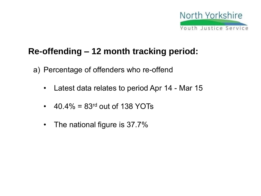

#### **Re-offending – 12 month tracking period:**

- a) Percentage of offenders who re-offend
	- Latest data relates to period Apr 14 Mar 15
	- 40.4% =  $83<sup>rd</sup>$  out of 138 YOTs
	- The national figure is 37.7%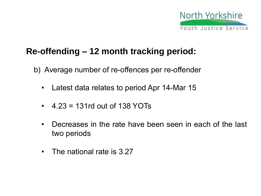

#### **Re-offending – 12 month tracking period:**

b) Average number of re-offences per re-offender

- Latest data relates to period Apr 14-Mar 15
- $4.23 = 131$ rd out of 138 YOTs
- Decreases in the rate have been seen in each of the last two periods
- The national rate is 3.27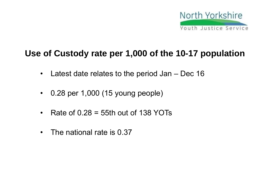

#### **Use of Custody rate per 1,000 of the 10-17 population**

- Latest date relates to the period Jan Dec 16
- 0.28 per 1,000 (15 young people)
- Rate of  $0.28 = 55$ th out of 138 YOTs
- The national rate is 0.37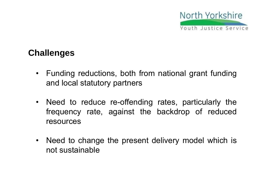

#### **Challenges**

- Funding reductions, both from national grant funding and local statutory partners
- Need to reduce re-offending rates, particularly the frequency rate, against the backdrop of reduced resources
- Need to change the present delivery model which is not sustainable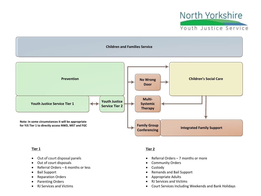



#### **Tier 1**

- · Out of court disposal panels
- · Out of court disposals
- · Referral Orders 6 months or less
- · Bail Support
- · Reparation Orders
- · Parenting Orders
- · RJ Services and Victims

#### **Tier 2**

- · Referral Orders 7 months or more
- · Community Orders
- · Custody
- · Remands and Bail Support
- · Appropriate Adults
- · RJ Services and Victims
- · Court Services Including Weekends and Bank Holidays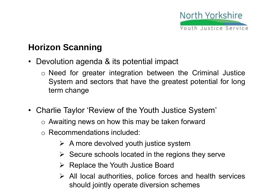

### **Horizon Scanning**

- Devolution agenda & its potential impact
	- o Need for greater integration between the Criminal Justice System and sectors that have the greatest potential for long term change
- Charlie Taylor 'Review of the Youth Justice System'
	- o Awaiting news on how this may be taken forward
	- o Recommendations included:
		- $\triangleright$  A more devolved youth justice system
		- $\triangleright$  Secure schools located in the regions they serve
		- $\triangleright$  Replace the Youth Justice Board
		- $\triangleright$  All local authorities, police forces and health services should jointly operate diversion schemes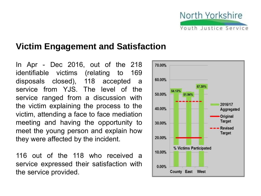

#### **Victim Engagement and Satisfaction**

In Apr - Dec 2016, out of the 218 identifiable victims (relating to 169 disposals closed), 118 accepted a service from YJS. The level of the service ranged from a discussion with the victim explaining the process to the victim, attending a face to face mediation meeting and having the opportunity to meet the young person and explain how they were affected by the incident.

116 out of the 118 who received a service expressed their satisfaction with the service provided.

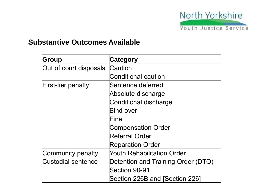

#### **Substantive Outcomes Available**

| Group                     | Category                           |
|---------------------------|------------------------------------|
| Out of court disposals    | Caution                            |
|                           | <b>Conditional caution</b>         |
| <b>First-tier penalty</b> | Sentence deferred                  |
|                           | Absolute discharge                 |
|                           | Conditional discharge              |
|                           | <b>Bind over</b>                   |
|                           | Fine                               |
|                           | <b>Compensation Order</b>          |
|                           | Referral Order                     |
|                           | <b>Reparation Order</b>            |
| Community penalty         | <b>Youth Rehabilitation Order</b>  |
| Custodial sentence        | Detention and Training Order (DTO) |
|                           | Section 90-91                      |
|                           | Section 226B and [Section 226]     |